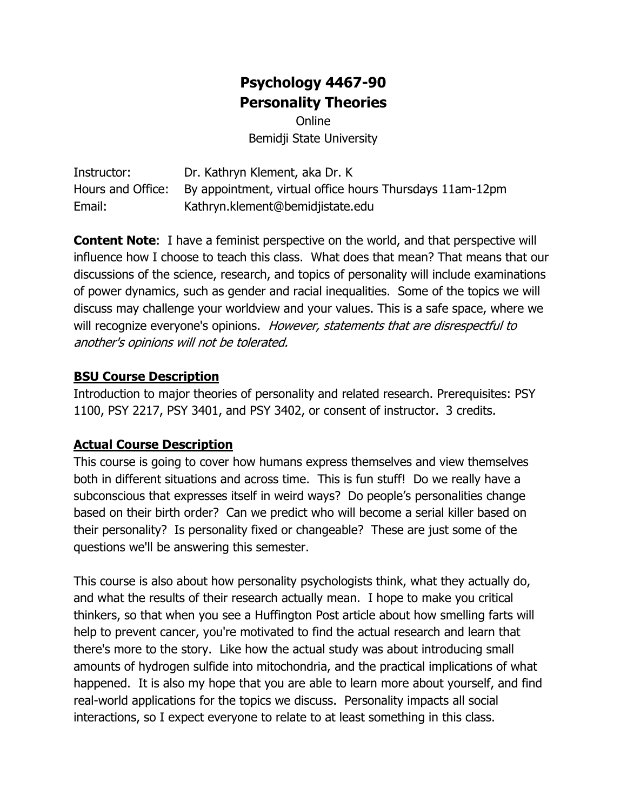# **Psychology 4467-90 Personality Theories**

**Online** Bemidji State University

Instructor: Dr. Kathryn Klement, aka Dr. K Hours and Office: By appointment, virtual office hours Thursdays 11am-12pm Email: Kathryn.klement@bemidjistate.edu

**Content Note**: I have a feminist perspective on the world, and that perspective will influence how I choose to teach this class. What does that mean? That means that our discussions of the science, research, and topics of personality will include examinations of power dynamics, such as gender and racial inequalities. Some of the topics we will discuss may challenge your worldview and your values. This is a safe space, where we will recognize everyone's opinions. However, statements that are disrespectful to another's opinions will not be tolerated.

#### **BSU Course Description**

Introduction to major theories of personality and related research. Prerequisites: PSY 1100, PSY 2217, PSY 3401, and PSY 3402, or consent of instructor. 3 credits.

#### **Actual Course Description**

This course is going to cover how humans express themselves and view themselves both in different situations and across time. This is fun stuff! Do we really have a subconscious that expresses itself in weird ways? Do people's personalities change based on their birth order? Can we predict who will become a serial killer based on their personality? Is personality fixed or changeable? These are just some of the questions we'll be answering this semester.

This course is also about how personality psychologists think, what they actually do, and what the results of their research actually mean. I hope to make you critical thinkers, so that when you see a Huffington Post article about how smelling farts will help to prevent cancer, you're motivated to find the actual research and learn that there's more to the story. Like how the actual study was about introducing small amounts of hydrogen sulfide into mitochondria, and the practical implications of what happened. It is also my hope that you are able to learn more about yourself, and find real-world applications for the topics we discuss. Personality impacts all social interactions, so I expect everyone to relate to at least something in this class.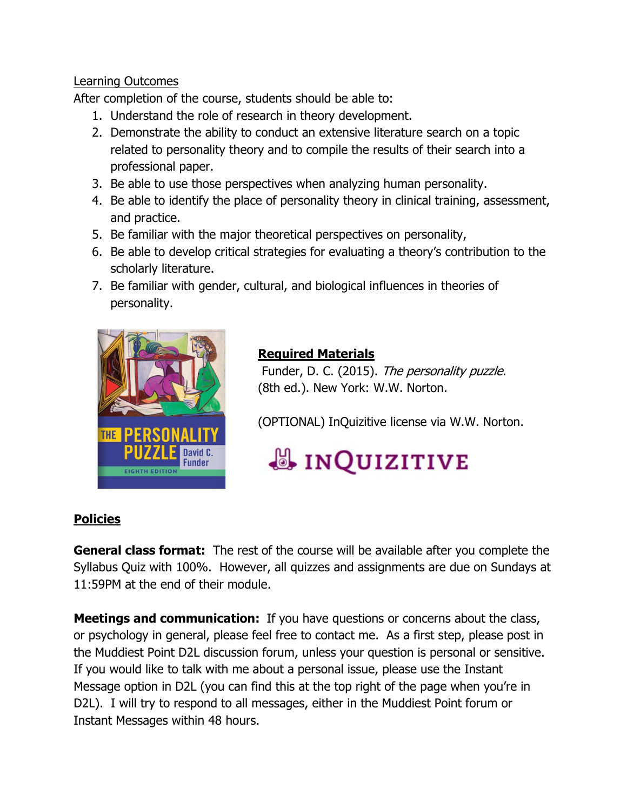## Learning Outcomes

After completion of the course, students should be able to:

- 1. Understand the role of research in theory development.
- 2. Demonstrate the ability to conduct an extensive literature search on a topic related to personality theory and to compile the results of their search into a professional paper.
- 3. Be able to use those perspectives when analyzing human personality.
- 4. Be able to identify the place of personality theory in clinical training, assessment, and practice.
- 5. Be familiar with the major theoretical perspectives on personality,
- 6. Be able to develop critical strategies for evaluating a theory's contribution to the scholarly literature.
- 7. Be familiar with gender, cultural, and biological influences in theories of personality.



# **Required Materials**

Funder, D. C. (2015). The personality puzzle. (8th ed.). New York: W.W. Norton.

(OPTIONAL) InQuizitive license via W.W. Norton.

# **& INQUIZITIVE**

# **Policies**

**General class format:** The rest of the course will be available after you complete the Syllabus Quiz with 100%. However, all quizzes and assignments are due on Sundays at 11:59PM at the end of their module.

**Meetings and communication:** If you have questions or concerns about the class, or psychology in general, please feel free to contact me. As a first step, please post in the Muddiest Point D2L discussion forum, unless your question is personal or sensitive. If you would like to talk with me about a personal issue, please use the Instant Message option in D2L (you can find this at the top right of the page when you're in D2L). I will try to respond to all messages, either in the Muddiest Point forum or Instant Messages within 48 hours.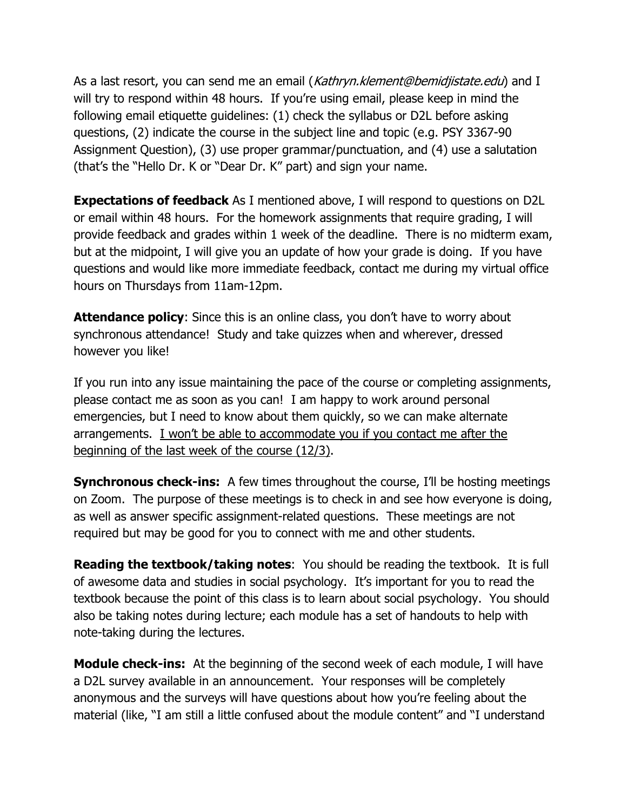As a last resort, you can send me an email (Kathryn.klement@bemidjistate.edu) and I will try to respond within 48 hours. If you're using email, please keep in mind the following email etiquette guidelines: (1) check the syllabus or D2L before asking questions, (2) indicate the course in the subject line and topic (e.g. PSY 3367-90 Assignment Question), (3) use proper grammar/punctuation, and (4) use a salutation (that's the "Hello Dr. K or "Dear Dr. K" part) and sign your name.

**Expectations of feedback** As I mentioned above, I will respond to questions on D2L or email within 48 hours. For the homework assignments that require grading, I will provide feedback and grades within 1 week of the deadline. There is no midterm exam, but at the midpoint, I will give you an update of how your grade is doing. If you have questions and would like more immediate feedback, contact me during my virtual office hours on Thursdays from 11am-12pm.

**Attendance policy:** Since this is an online class, you don't have to worry about synchronous attendance! Study and take quizzes when and wherever, dressed however you like!

If you run into any issue maintaining the pace of the course or completing assignments, please contact me as soon as you can! I am happy to work around personal emergencies, but I need to know about them quickly, so we can make alternate arrangements. I won't be able to accommodate you if you contact me after the beginning of the last week of the course (12/3).

**Synchronous check-ins:** A few times throughout the course, I'll be hosting meetings on Zoom. The purpose of these meetings is to check in and see how everyone is doing, as well as answer specific assignment-related questions. These meetings are not required but may be good for you to connect with me and other students.

**Reading the textbook/taking notes**: You should be reading the textbook. It is full of awesome data and studies in social psychology. It's important for you to read the textbook because the point of this class is to learn about social psychology. You should also be taking notes during lecture; each module has a set of handouts to help with note-taking during the lectures.

**Module check-ins:** At the beginning of the second week of each module, I will have a D2L survey available in an announcement. Your responses will be completely anonymous and the surveys will have questions about how you're feeling about the material (like, "I am still a little confused about the module content" and "I understand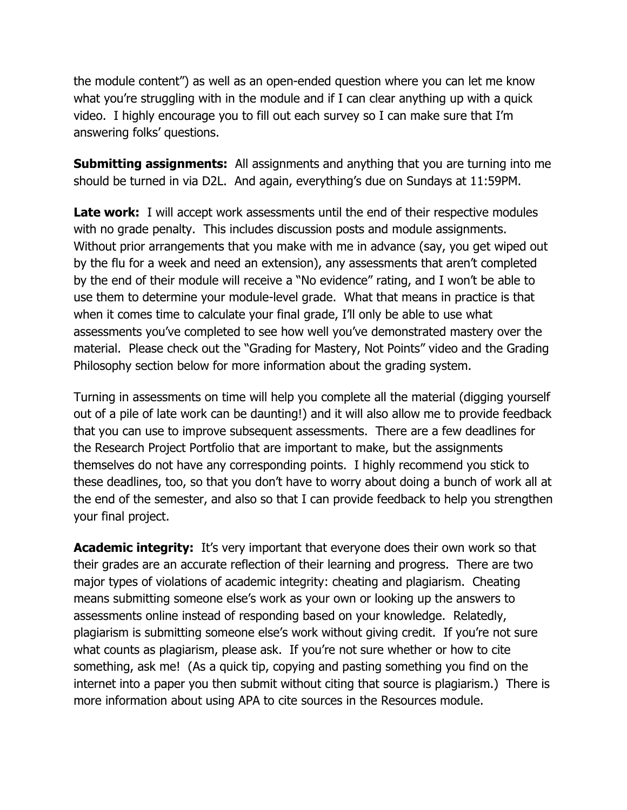the module content") as well as an open-ended question where you can let me know what you're struggling with in the module and if I can clear anything up with a quick video. I highly encourage you to fill out each survey so I can make sure that I'm answering folks' questions.

**Submitting assignments:** All assignments and anything that you are turning into me should be turned in via D2L. And again, everything's due on Sundays at 11:59PM.

**Late work:** I will accept work assessments until the end of their respective modules with no grade penalty. This includes discussion posts and module assignments. Without prior arrangements that you make with me in advance (say, you get wiped out by the flu for a week and need an extension), any assessments that aren't completed by the end of their module will receive a "No evidence" rating, and I won't be able to use them to determine your module-level grade. What that means in practice is that when it comes time to calculate your final grade, I'll only be able to use what assessments you've completed to see how well you've demonstrated mastery over the material. Please check out the "Grading for Mastery, Not Points" video and the Grading Philosophy section below for more information about the grading system.

Turning in assessments on time will help you complete all the material (digging yourself out of a pile of late work can be daunting!) and it will also allow me to provide feedback that you can use to improve subsequent assessments. There are a few deadlines for the Research Project Portfolio that are important to make, but the assignments themselves do not have any corresponding points. I highly recommend you stick to these deadlines, too, so that you don't have to worry about doing a bunch of work all at the end of the semester, and also so that I can provide feedback to help you strengthen your final project.

**Academic integrity:** It's very important that everyone does their own work so that their grades are an accurate reflection of their learning and progress. There are two major types of violations of academic integrity: cheating and plagiarism. Cheating means submitting someone else's work as your own or looking up the answers to assessments online instead of responding based on your knowledge. Relatedly, plagiarism is submitting someone else's work without giving credit. If you're not sure what counts as plagiarism, please ask. If you're not sure whether or how to cite something, ask me! (As a quick tip, copying and pasting something you find on the internet into a paper you then submit without citing that source is plagiarism.) There is more information about using APA to cite sources in the Resources module.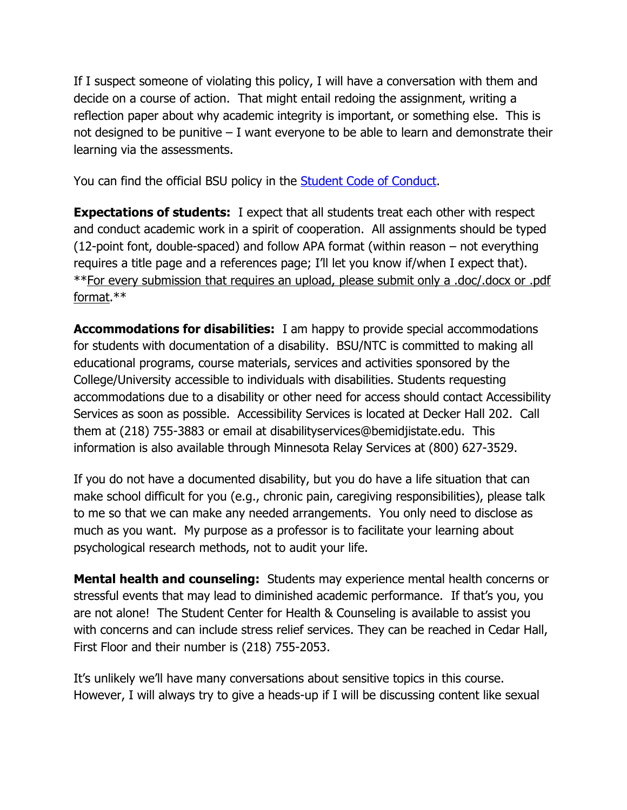If I suspect someone of violating this policy, I will have a conversation with them and decide on a course of action. That might entail redoing the assignment, writing a reflection paper about why academic integrity is important, or something else. This is not designed to be punitive – I want everyone to be able to learn and demonstrate their learning via the assessments.

You can find the official BSU policy in the [Student Code of Conduct.](https://www.bemidjistate.edu/offices/student-life-success/handbook/conduct/)

**Expectations of students:** I expect that all students treat each other with respect and conduct academic work in a spirit of cooperation. All assignments should be typed (12-point font, double-spaced) and follow APA format (within reason – not everything requires a title page and a references page; I'll let you know if/when I expect that). \*\*For every submission that requires an upload, please submit only a .doc/.docx or .pdf format.\*\*

**Accommodations for disabilities:** I am happy to provide special accommodations for students with documentation of a disability. BSU/NTC is committed to making all educational programs, course materials, services and activities sponsored by the College/University accessible to individuals with disabilities. Students requesting accommodations due to a disability or other need for access should contact Accessibility Services as soon as possible. Accessibility Services is located at Decker Hall 202. Call them at (218) 755-3883 or email at disabilityservices@bemidjistate.edu. This information is also available through Minnesota Relay Services at (800) 627-3529.

If you do not have a documented disability, but you do have a life situation that can make school difficult for you (e.g., chronic pain, caregiving responsibilities), please talk to me so that we can make any needed arrangements. You only need to disclose as much as you want. My purpose as a professor is to facilitate your learning about psychological research methods, not to audit your life.

**Mental health and counseling:** Students may experience mental health concerns or stressful events that may lead to diminished academic performance. If that's you, you are not alone! The Student Center for Health & Counseling is available to assist you with concerns and can include stress relief services. They can be reached in Cedar Hall, First Floor and their number is (218) 755-2053.

It's unlikely we'll have many conversations about sensitive topics in this course. However, I will always try to give a heads-up if I will be discussing content like sexual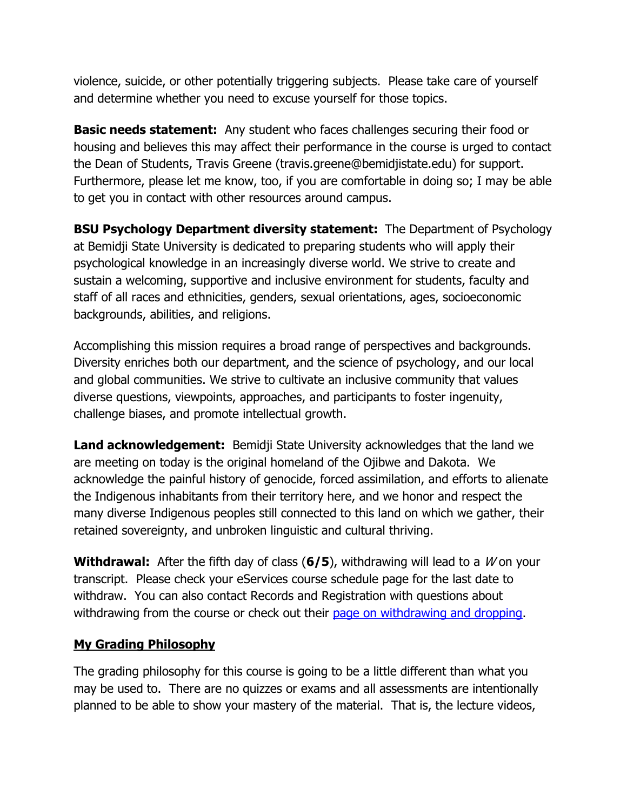violence, suicide, or other potentially triggering subjects. Please take care of yourself and determine whether you need to excuse yourself for those topics.

**Basic needs statement:** Any student who faces challenges securing their food or housing and believes this may affect their performance in the course is urged to contact the Dean of Students, Travis Greene (travis.greene@bemidjistate.edu) for support. Furthermore, please let me know, too, if you are comfortable in doing so; I may be able to get you in contact with other resources around campus.

**BSU Psychology Department diversity statement:** The Department of Psychology at Bemidji State University is dedicated to preparing students who will apply their psychological knowledge in an increasingly diverse world. We strive to create and sustain a welcoming, supportive and inclusive environment for students, faculty and staff of all races and ethnicities, genders, sexual orientations, ages, socioeconomic backgrounds, abilities, and religions.

Accomplishing this mission requires a broad range of perspectives and backgrounds. Diversity enriches both our department, and the science of psychology, and our local and global communities. We strive to cultivate an inclusive community that values diverse questions, viewpoints, approaches, and participants to foster ingenuity, challenge biases, and promote intellectual growth.

**Land acknowledgement:** Bemidji State University acknowledges that the land we are meeting on today is the original homeland of the Ojibwe and Dakota. We acknowledge the painful history of genocide, forced assimilation, and efforts to alienate the Indigenous inhabitants from their territory here, and we honor and respect the many diverse Indigenous peoples still connected to this land on which we gather, their retained sovereignty, and unbroken linguistic and cultural thriving.

**Withdrawal:** After the fifth day of class (6/5), withdrawing will lead to a *W* on your transcript. Please check your eServices course schedule page for the last date to withdraw. You can also contact Records and Registration with questions about withdrawing from the course or check out their [page on withdrawing and dropping.](https://www.bemidjistate.edu/mybsu/registration/withdrawing-dropping/)

# **My Grading Philosophy**

The grading philosophy for this course is going to be a little different than what you may be used to. There are no quizzes or exams and all assessments are intentionally planned to be able to show your mastery of the material. That is, the lecture videos,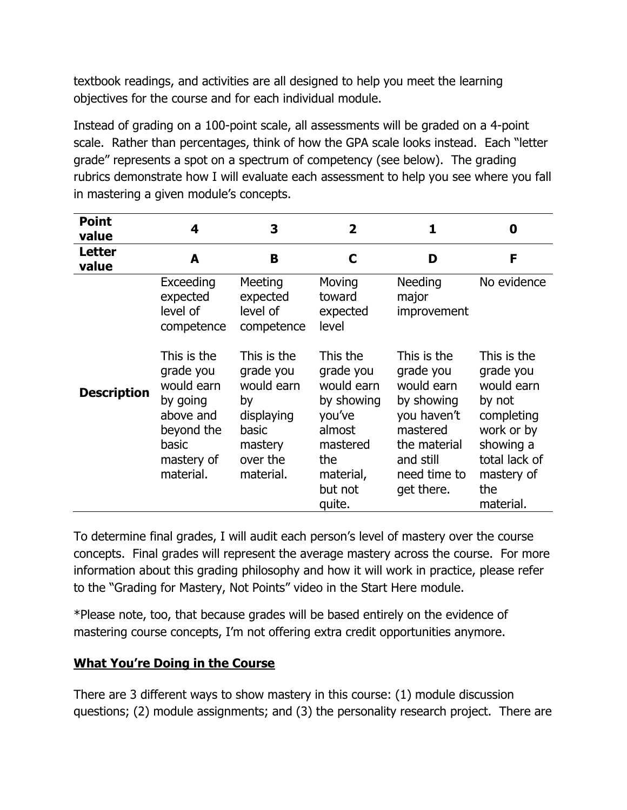textbook readings, and activities are all designed to help you meet the learning objectives for the course and for each individual module.

Instead of grading on a 100-point scale, all assessments will be graded on a 4-point scale. Rather than percentages, think of how the GPA scale looks instead. Each "letter grade" represents a spot on a spectrum of competency (see below). The grading rubrics demonstrate how I will evaluate each assessment to help you see where you fall in mastering a given module's concepts.

| <b>Point</b><br>value  | 4                                                                                                                 | 3                                                                                                       | $\mathbf{2}$                                                                                                               | 1                                                                                                                                          | 0                                                                                                                                            |
|------------------------|-------------------------------------------------------------------------------------------------------------------|---------------------------------------------------------------------------------------------------------|----------------------------------------------------------------------------------------------------------------------------|--------------------------------------------------------------------------------------------------------------------------------------------|----------------------------------------------------------------------------------------------------------------------------------------------|
| <b>Letter</b><br>value | A                                                                                                                 | B                                                                                                       | C                                                                                                                          | D                                                                                                                                          | F                                                                                                                                            |
|                        | Exceeding<br>expected<br>level of<br>competence                                                                   | Meeting<br>expected<br>level of<br>competence                                                           | Moving<br>toward<br>expected<br>level                                                                                      | Needing<br>major<br>improvement                                                                                                            | No evidence                                                                                                                                  |
| <b>Description</b>     | This is the<br>grade you<br>would earn<br>by going<br>above and<br>beyond the<br>basic<br>mastery of<br>material. | This is the<br>grade you<br>would earn<br>by<br>displaying<br>basic<br>mastery<br>over the<br>material. | This the<br>grade you<br>would earn<br>by showing<br>you've<br>almost<br>mastered<br>the<br>material,<br>but not<br>quite. | This is the<br>grade you<br>would earn<br>by showing<br>you haven't<br>mastered<br>the material<br>and still<br>need time to<br>get there. | This is the<br>grade you<br>would earn<br>by not<br>completing<br>work or by<br>showing a<br>total lack of<br>mastery of<br>the<br>material. |

To determine final grades, I will audit each person's level of mastery over the course concepts. Final grades will represent the average mastery across the course. For more information about this grading philosophy and how it will work in practice, please refer to the "Grading for Mastery, Not Points" video in the Start Here module.

\*Please note, too, that because grades will be based entirely on the evidence of mastering course concepts, I'm not offering extra credit opportunities anymore.

# **What You're Doing in the Course**

There are 3 different ways to show mastery in this course: (1) module discussion questions; (2) module assignments; and (3) the personality research project. There are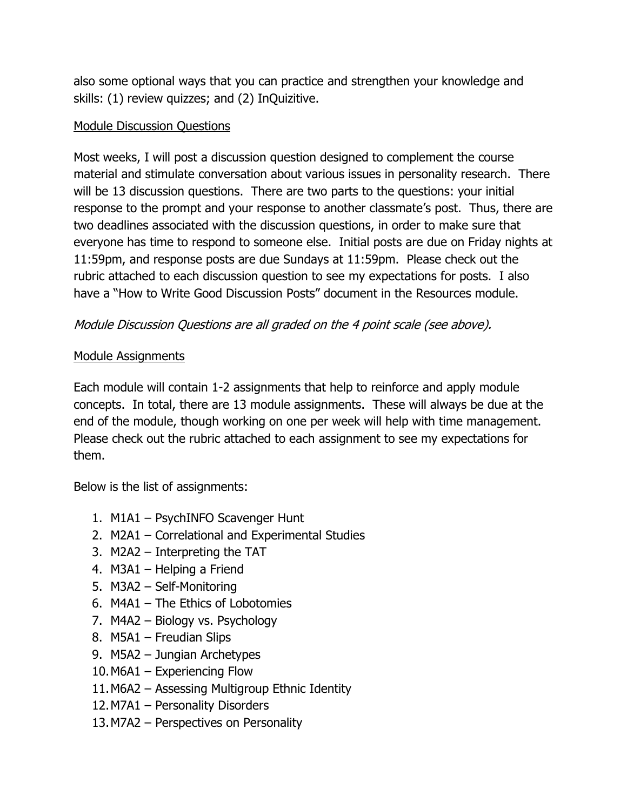also some optional ways that you can practice and strengthen your knowledge and skills: (1) review quizzes; and (2) InQuizitive.

## Module Discussion Questions

Most weeks, I will post a discussion question designed to complement the course material and stimulate conversation about various issues in personality research. There will be 13 discussion questions. There are two parts to the questions: your initial response to the prompt and your response to another classmate's post. Thus, there are two deadlines associated with the discussion questions, in order to make sure that everyone has time to respond to someone else. Initial posts are due on Friday nights at 11:59pm, and response posts are due Sundays at 11:59pm. Please check out the rubric attached to each discussion question to see my expectations for posts. I also have a "How to Write Good Discussion Posts" document in the Resources module.

# Module Discussion Questions are all graded on the 4 point scale (see above).

### Module Assignments

Each module will contain 1-2 assignments that help to reinforce and apply module concepts. In total, there are 13 module assignments. These will always be due at the end of the module, though working on one per week will help with time management. Please check out the rubric attached to each assignment to see my expectations for them.

Below is the list of assignments:

- 1. M1A1 PsychINFO Scavenger Hunt
- 2. M2A1 Correlational and Experimental Studies
- 3. M2A2 Interpreting the TAT
- 4. M3A1 Helping a Friend
- 5. M3A2 Self-Monitoring
- 6. M4A1 The Ethics of Lobotomies
- 7. M4A2 Biology vs. Psychology
- 8. M5A1 Freudian Slips
- 9. M5A2 Jungian Archetypes
- 10.M6A1 Experiencing Flow
- 11.M6A2 Assessing Multigroup Ethnic Identity
- 12.M7A1 Personality Disorders
- 13.M7A2 Perspectives on Personality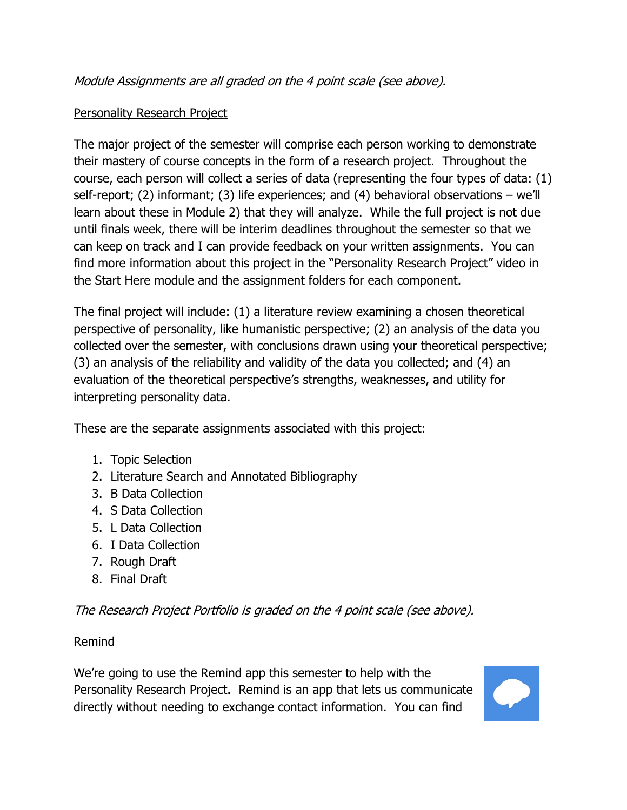# Personality Research Project

The major project of the semester will comprise each person working to demonstrate their mastery of course concepts in the form of a research project. Throughout the course, each person will collect a series of data (representing the four types of data: (1) self-report; (2) informant; (3) life experiences; and (4) behavioral observations – we'll learn about these in Module 2) that they will analyze. While the full project is not due until finals week, there will be interim deadlines throughout the semester so that we can keep on track and I can provide feedback on your written assignments. You can find more information about this project in the "Personality Research Project" video in the Start Here module and the assignment folders for each component.

The final project will include: (1) a literature review examining a chosen theoretical perspective of personality, like humanistic perspective; (2) an analysis of the data you collected over the semester, with conclusions drawn using your theoretical perspective; (3) an analysis of the reliability and validity of the data you collected; and (4) an evaluation of the theoretical perspective's strengths, weaknesses, and utility for interpreting personality data.

These are the separate assignments associated with this project:

- 1. Topic Selection
- 2. Literature Search and Annotated Bibliography
- 3. B Data Collection
- 4. S Data Collection
- 5. L Data Collection
- 6. I Data Collection
- 7. Rough Draft
- 8. Final Draft

The Research Project Portfolio is graded on the 4 point scale (see above).

#### Remind

We're going to use the Remind app this semester to help with the Personality Research Project. Remind is an app that lets us communicate directly without needing to exchange contact information. You can find

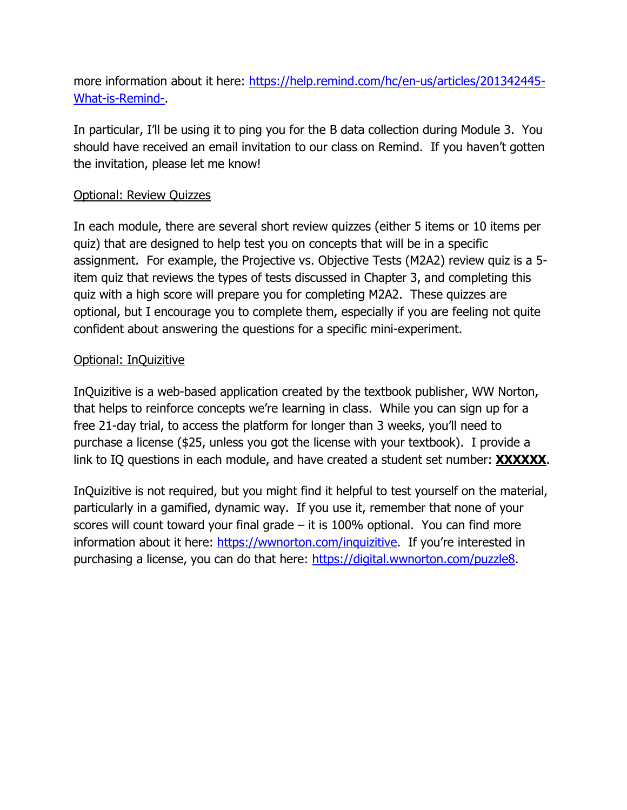more information about it here: [https://help.remind.com/hc/en-us/articles/201342445-](https://help.remind.com/hc/en-us/articles/201342445-What-is-Remind-) [What-is-Remind-.](https://help.remind.com/hc/en-us/articles/201342445-What-is-Remind-)

In particular, I'll be using it to ping you for the B data collection during Module 3. You should have received an email invitation to our class on Remind. If you haven't gotten the invitation, please let me know!

#### Optional: Review Quizzes

In each module, there are several short review quizzes (either 5 items or 10 items per quiz) that are designed to help test you on concepts that will be in a specific assignment. For example, the Projective vs. Objective Tests (M2A2) review quiz is a 5 item quiz that reviews the types of tests discussed in Chapter 3, and completing this quiz with a high score will prepare you for completing M2A2. These quizzes are optional, but I encourage you to complete them, especially if you are feeling not quite confident about answering the questions for a specific mini-experiment.

#### Optional: InQuizitive

InQuizitive is a web-based application created by the textbook publisher, WW Norton, that helps to reinforce concepts we're learning in class. While you can sign up for a free 21-day trial, to access the platform for longer than 3 weeks, you'll need to purchase a license (\$25, unless you got the license with your textbook). I provide a link to IQ questions in each module, and have created a student set number: **XXXXXX**.

InQuizitive is not required, but you might find it helpful to test yourself on the material, particularly in a gamified, dynamic way. If you use it, remember that none of your scores will count toward your final grade  $-$  it is 100% optional. You can find more information about it here: [https://wwnorton.com/inquizitive.](https://wwnorton.com/inquizitive) If you're interested in purchasing a license, you can do that here: [https://digital.wwnorton.com/puzzle8.](https://digital.wwnorton.com/puzzle8)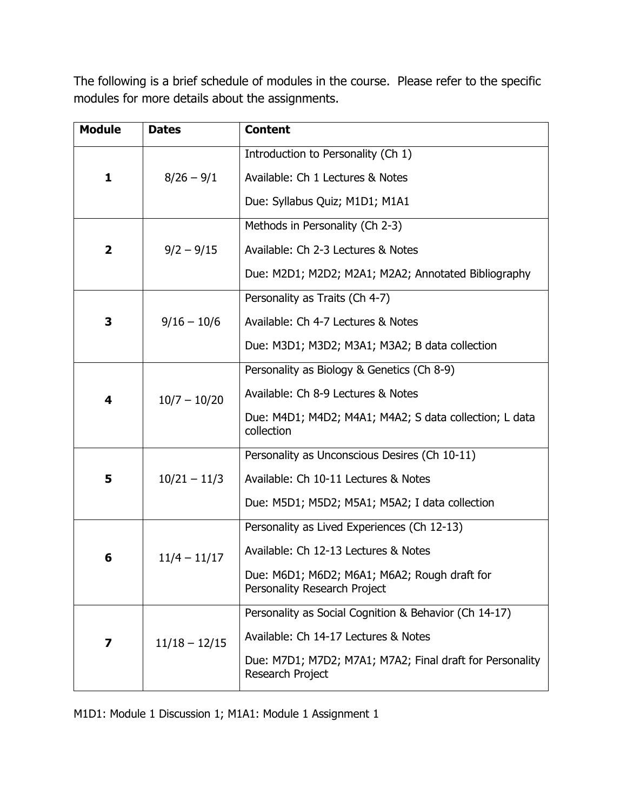The following is a brief schedule of modules in the course. Please refer to the specific modules for more details about the assignments.

| <b>Module</b>           | <b>Dates</b>    | <b>Content</b>                                                               |  |
|-------------------------|-----------------|------------------------------------------------------------------------------|--|
| 1                       | $8/26 - 9/1$    | Introduction to Personality (Ch 1)                                           |  |
|                         |                 | Available: Ch 1 Lectures & Notes                                             |  |
|                         |                 | Due: Syllabus Quiz; M1D1; M1A1                                               |  |
| $\overline{\mathbf{2}}$ | $9/2 - 9/15$    | Methods in Personality (Ch 2-3)                                              |  |
|                         |                 | Available: Ch 2-3 Lectures & Notes                                           |  |
|                         |                 | Due: M2D1; M2D2; M2A1; M2A2; Annotated Bibliography                          |  |
| 3                       | $9/16 - 10/6$   | Personality as Traits (Ch 4-7)                                               |  |
|                         |                 | Available: Ch 4-7 Lectures & Notes                                           |  |
|                         |                 | Due: M3D1; M3D2; M3A1; M3A2; B data collection                               |  |
| 4                       | $10/7 - 10/20$  | Personality as Biology & Genetics (Ch 8-9)                                   |  |
|                         |                 | Available: Ch 8-9 Lectures & Notes                                           |  |
|                         |                 | Due: M4D1; M4D2; M4A1; M4A2; S data collection; L data<br>collection         |  |
| 5                       | $10/21 - 11/3$  | Personality as Unconscious Desires (Ch 10-11)                                |  |
|                         |                 | Available: Ch 10-11 Lectures & Notes                                         |  |
|                         |                 | Due: M5D1; M5D2; M5A1; M5A2; I data collection                               |  |
| 6                       | $11/4 - 11/17$  | Personality as Lived Experiences (Ch 12-13)                                  |  |
|                         |                 | Available: Ch 12-13 Lectures & Notes                                         |  |
|                         |                 | Due: M6D1; M6D2; M6A1; M6A2; Rough draft for<br>Personality Research Project |  |
| 7                       | $11/18 - 12/15$ | Personality as Social Cognition & Behavior (Ch 14-17)                        |  |
|                         |                 | Available: Ch 14-17 Lectures & Notes                                         |  |
|                         |                 | Due: M7D1; M7D2; M7A1; M7A2; Final draft for Personality<br>Research Project |  |

M1D1: Module 1 Discussion 1; M1A1: Module 1 Assignment 1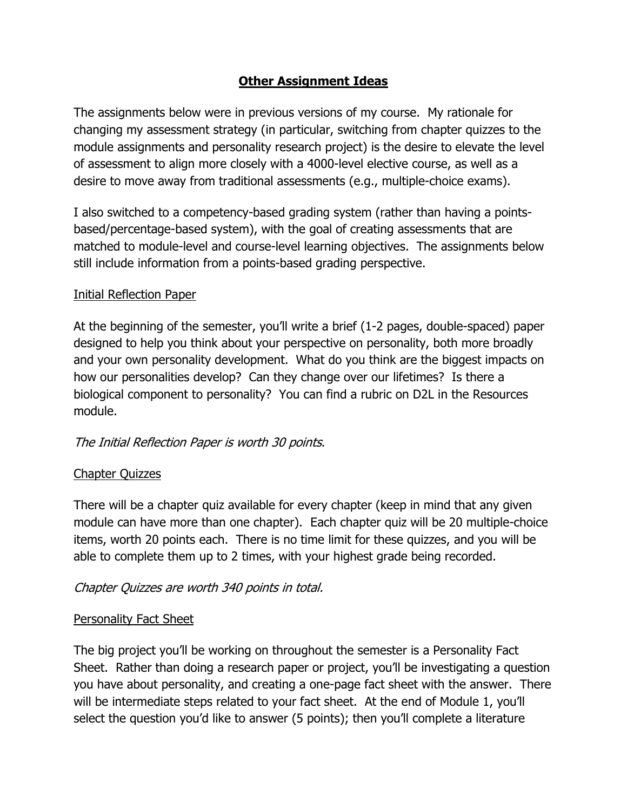# **Other Assignment Ideas**

The assignments below were in previous versions of my course. My rationale for changing my assessment strategy (in particular, switching from chapter quizzes to the module assignments and personality research project) is the desire to elevate the level of assessment to align more closely with a 4000-level elective course, as well as a desire to move away from traditional assessments (e.g., multiple-choice exams).

I also switched to a competency-based grading system (rather than having a pointsbased/percentage-based system), with the goal of creating assessments that are matched to module-level and course-level learning objectives. The assignments below still include information from a points-based grading perspective.

#### Initial Reflection Paper

At the beginning of the semester, you'll write a brief (1-2 pages, double-spaced) paper designed to help you think about your perspective on personality, both more broadly and your own personality development. What do you think are the biggest impacts on how our personalities develop? Can they change over our lifetimes? Is there a biological component to personality? You can find a rubric on D2L in the Resources module.

# The Initial Reflection Paper is worth 30 points.

#### Chapter Quizzes

There will be a chapter quiz available for every chapter (keep in mind that any given module can have more than one chapter). Each chapter quiz will be 20 multiple-choice items, worth 20 points each. There is no time limit for these quizzes, and you will be able to complete them up to 2 times, with your highest grade being recorded.

# Chapter Quizzes are worth 340 points in total.

#### Personality Fact Sheet

The big project you'll be working on throughout the semester is a Personality Fact Sheet. Rather than doing a research paper or project, you'll be investigating a question you have about personality, and creating a one-page fact sheet with the answer. There will be intermediate steps related to your fact sheet. At the end of Module 1, you'll select the question you'd like to answer (5 points); then you'll complete a literature